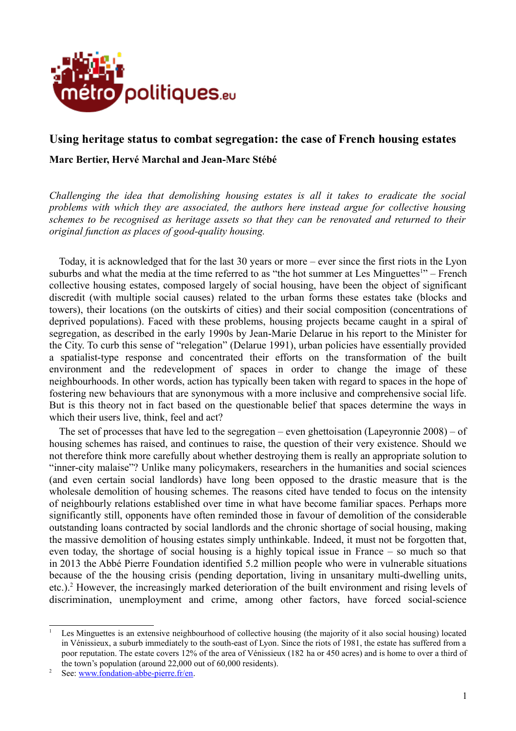

## **Using heritage status to combat segregation: the case of French housing estates**

### **Marc Bertier, Hervé Marchal and Jean-Marc Stébé**

*Challenging the idea that demolishing housing estates is all it takes to eradicate the social problems with which they are associated, the authors here instead argue for collective housing schemes to be recognised as heritage assets so that they can be renovated and returned to their original function as places of good-quality housing.*

Today, it is acknowledged that for the last 30 years or more – ever since the first riots in the Lyon suburbs and what the media at the time referred to as "the hot summer at Les Minguettes<sup>[1](#page-0-0)</sup>" – French collective housing estates, composed largely of social housing, have been the object of significant discredit (with multiple social causes) related to the urban forms these estates take (blocks and towers), their locations (on the outskirts of cities) and their social composition (concentrations of deprived populations). Faced with these problems, housing projects became caught in a spiral of segregation, as described in the early 1990s by Jean-Marie Delarue in his report to the Minister for the City. To curb this sense of "relegation" (Delarue 1991), urban policies have essentially provided a spatialist-type response and concentrated their efforts on the transformation of the built environment and the redevelopment of spaces in order to change the image of these neighbourhoods. In other words, action has typically been taken with regard to spaces in the hope of fostering new behaviours that are synonymous with a more inclusive and comprehensive social life. But is this theory not in fact based on the questionable belief that spaces determine the ways in which their users live, think, feel and act?

The set of processes that have led to the segregation – even ghettoisation (Lapeyronnie 2008) – of housing schemes has raised, and continues to raise, the question of their very existence. Should we not therefore think more carefully about whether destroying them is really an appropriate solution to "inner-city malaise"? Unlike many policymakers, researchers in the humanities and social sciences (and even certain social landlords) have long been opposed to the drastic measure that is the wholesale demolition of housing schemes. The reasons cited have tended to focus on the intensity of neighbourly relations established over time in what have become familiar spaces. Perhaps more significantly still, opponents have often reminded those in favour of demolition of the considerable outstanding loans contracted by social landlords and the chronic shortage of social housing, making the massive demolition of housing estates simply unthinkable. Indeed, it must not be forgotten that, even today, the shortage of social housing is a highly topical issue in France – so much so that in 2013 the Abbé Pierre Foundation identified 5.2 million people who were in vulnerable situations because of the the housing crisis (pending deportation, living in unsanitary multi-dwelling units, etc.).<sup>[2](#page-0-1)</sup> However, the increasingly marked deterioration of the built environment and rising levels of discrimination, unemployment and crime, among other factors, have forced social-science

<span id="page-0-0"></span><sup>&</sup>lt;sup>1</sup> Les Minguettes is an extensive neighbourhood of collective housing (the majority of it also social housing) located in Vénissieux, a suburb immediately to the south-east of Lyon. Since the riots of 1981, the estate has suffered from a poor reputation. The estate covers 12% of the area of Vénissieux (182 ha or 450 acres) and is home to over a third of the town's population (around 22,000 out of 60,000 residents).

<span id="page-0-1"></span>See: www.fondation-abbe-pierre.fr/en.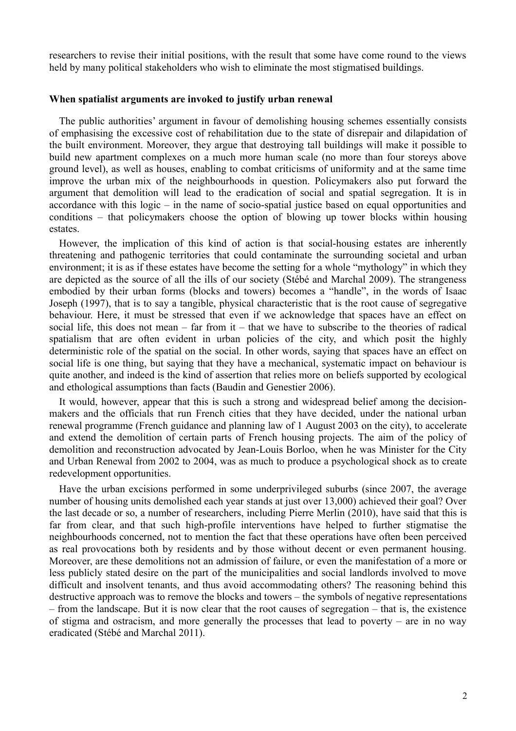researchers to revise their initial positions, with the result that some have come round to the views held by many political stakeholders who wish to eliminate the most stigmatised buildings.

#### **When spatialist arguments are invoked to justify urban renewal**

The public authorities' argument in favour of demolishing housing schemes essentially consists of emphasising the excessive cost of rehabilitation due to the state of disrepair and dilapidation of the built environment. Moreover, they argue that destroying tall buildings will make it possible to build new apartment complexes on a much more human scale (no more than four storeys above ground level), as well as houses, enabling to combat criticisms of uniformity and at the same time improve the urban mix of the neighbourhoods in question. Policymakers also put forward the argument that demolition will lead to the eradication of social and spatial segregation. It is in accordance with this logic – in the name of socio-spatial justice based on equal opportunities and conditions – that policymakers choose the option of blowing up tower blocks within housing estates.

However, the implication of this kind of action is that social-housing estates are inherently threatening and pathogenic territories that could contaminate the surrounding societal and urban environment; it is as if these estates have become the setting for a whole "mythology" in which they are depicted as the source of all the ills of our society (Stébé and Marchal 2009). The strangeness embodied by their urban forms (blocks and towers) becomes a "handle", in the words of Isaac Joseph (1997), that is to say a tangible, physical characteristic that is the root cause of segregative behaviour. Here, it must be stressed that even if we acknowledge that spaces have an effect on social life, this does not mean – far from it – that we have to subscribe to the theories of radical spatialism that are often evident in urban policies of the city, and which posit the highly deterministic role of the spatial on the social. In other words, saying that spaces have an effect on social life is one thing, but saying that they have a mechanical, systematic impact on behaviour is quite another, and indeed is the kind of assertion that relies more on beliefs supported by ecological and ethological assumptions than facts (Baudin and Genestier 2006).

It would, however, appear that this is such a strong and widespread belief among the decisionmakers and the officials that run French cities that they have decided, under the national urban renewal programme (French guidance and planning law of 1 August 2003 on the city), to accelerate and extend the demolition of certain parts of French housing projects. The aim of the policy of demolition and reconstruction advocated by Jean-Louis Borloo, when he was Minister for the City and Urban Renewal from 2002 to 2004, was as much to produce a psychological shock as to create redevelopment opportunities.

Have the urban excisions performed in some underprivileged suburbs (since 2007, the average number of housing units demolished each year stands at just over 13,000) achieved their goal? Over the last decade or so, a number of researchers, including Pierre Merlin (2010), have said that this is far from clear, and that such high-profile interventions have helped to further stigmatise the neighbourhoods concerned, not to mention the fact that these operations have often been perceived as real provocations both by residents and by those without decent or even permanent housing. Moreover, are these demolitions not an admission of failure, or even the manifestation of a more or less publicly stated desire on the part of the municipalities and social landlords involved to move difficult and insolvent tenants, and thus avoid accommodating others? The reasoning behind this destructive approach was to remove the blocks and towers – the symbols of negative representations – from the landscape. But it is now clear that the root causes of segregation – that is, the existence of stigma and ostracism, and more generally the processes that lead to poverty – are in no way eradicated (Stébé and Marchal 2011).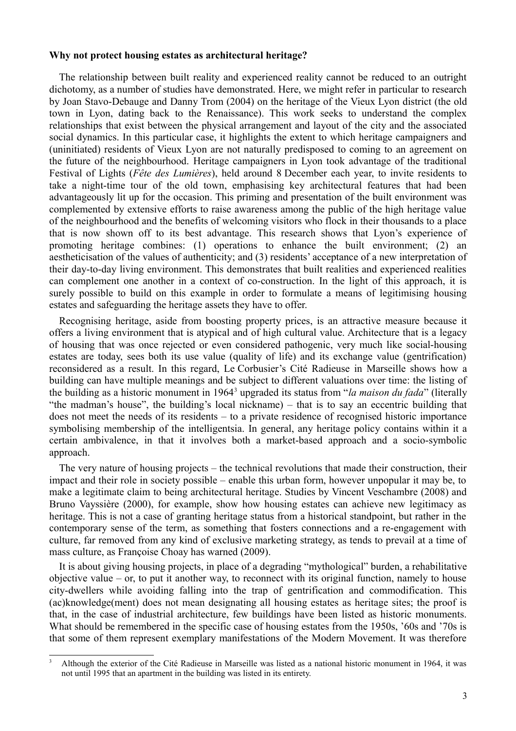#### **Why not protect housing estates as architectural heritage?**

The relationship between built reality and experienced reality cannot be reduced to an outright dichotomy, as a number of studies have demonstrated. Here, we might refer in particular to research by Joan Stavo-Debauge and Danny Trom (2004) on the heritage of the Vieux Lyon district (the old town in Lyon, dating back to the Renaissance). This work seeks to understand the complex relationships that exist between the physical arrangement and layout of the city and the associated social dynamics. In this particular case, it highlights the extent to which heritage campaigners and (uninitiated) residents of Vieux Lyon are not naturally predisposed to coming to an agreement on the future of the neighbourhood. Heritage campaigners in Lyon took advantage of the traditional Festival of Lights (*Fête des Lumières*), held around 8 December each year, to invite residents to take a night-time tour of the old town, emphasising key architectural features that had been advantageously lit up for the occasion. This priming and presentation of the built environment was complemented by extensive efforts to raise awareness among the public of the high heritage value of the neighbourhood and the benefits of welcoming visitors who flock in their thousands to a place that is now shown off to its best advantage. This research shows that Lyon's experience of promoting heritage combines: (1) operations to enhance the built environment; (2) an aestheticisation of the values of authenticity; and (3) residents' acceptance of a new interpretation of their day-to-day living environment. This demonstrates that built realities and experienced realities can complement one another in a context of co-construction. In the light of this approach, it is surely possible to build on this example in order to formulate a means of legitimising housing estates and safeguarding the heritage assets they have to offer.

Recognising heritage, aside from boosting property prices, is an attractive measure because it offers a living environment that is atypical and of high cultural value. Architecture that is a legacy of housing that was once rejected or even considered pathogenic, very much like social-housing estates are today, sees both its use value (quality of life) and its exchange value (gentrification) reconsidered as a result. In this regard, Le Corbusier's Cité Radieuse in Marseille shows how a building can have multiple meanings and be subject to different valuations over time: the listing of the building as a historic monument in 1964[3](#page-2-0) upgraded its status from "*la maison du fada*" (literally "the madman's house", the building's local nickname) – that is to say an eccentric building that does not meet the needs of its residents – to a private residence of recognised historic importance symbolising membership of the intelligentsia. In general, any heritage policy contains within it a certain ambivalence, in that it involves both a market-based approach and a socio-symbolic approach.

The very nature of housing projects – the technical revolutions that made their construction, their impact and their role in society possible – enable this urban form, however unpopular it may be, to make a legitimate claim to being architectural heritage. Studies by Vincent Veschambre (2008) and Bruno Vayssière (2000), for example, show how housing estates can achieve new legitimacy as heritage. This is not a case of granting heritage status from a historical standpoint, but rather in the contemporary sense of the term, as something that fosters connections and a re-engagement with culture, far removed from any kind of exclusive marketing strategy, as tends to prevail at a time of mass culture, as Françoise Choay has warned (2009).

It is about giving housing projects, in place of a degrading "mythological" burden, a rehabilitative objective value – or, to put it another way, to reconnect with its original function, namely to house city-dwellers while avoiding falling into the trap of gentrification and commodification. This (ac)knowledge(ment) does not mean designating all housing estates as heritage sites; the proof is that, in the case of industrial architecture, few buildings have been listed as historic monuments. What should be remembered in the specific case of housing estates from the 1950s, '60s and '70s is that some of them represent exemplary manifestations of the Modern Movement. It was therefore

<span id="page-2-0"></span><sup>&</sup>lt;sup>3</sup> Although the exterior of the Cité Radieuse in Marseille was listed as a national historic monument in 1964, it was not until 1995 that an apartment in the building was listed in its entirety.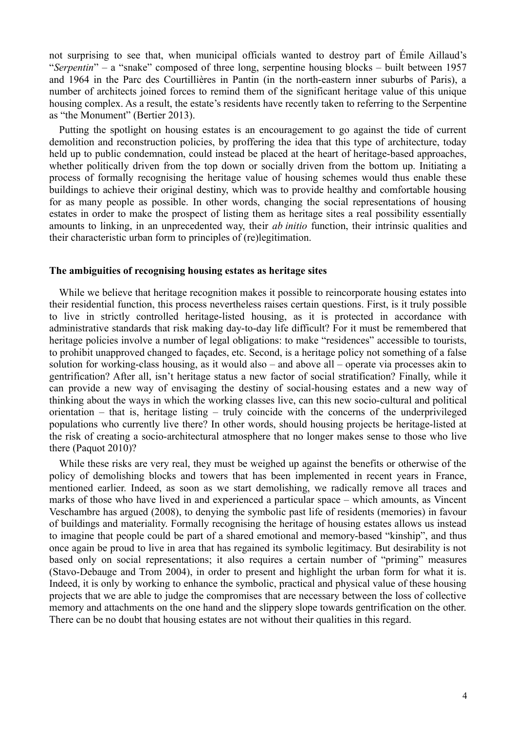not surprising to see that, when municipal officials wanted to destroy part of Émile Aillaud's "*Serpentin*" – a "snake" composed of three long, serpentine housing blocks – built between 1957 and 1964 in the Parc des Courtillières in Pantin (in the north-eastern inner suburbs of Paris), a number of architects joined forces to remind them of the significant heritage value of this unique housing complex. As a result, the estate's residents have recently taken to referring to the Serpentine as "the Monument" (Bertier 2013).

Putting the spotlight on housing estates is an encouragement to go against the tide of current demolition and reconstruction policies, by proffering the idea that this type of architecture, today held up to public condemnation, could instead be placed at the heart of heritage-based approaches, whether politically driven from the top down or socially driven from the bottom up. Initiating a process of formally recognising the heritage value of housing schemes would thus enable these buildings to achieve their original destiny, which was to provide healthy and comfortable housing for as many people as possible. In other words, changing the social representations of housing estates in order to make the prospect of listing them as heritage sites a real possibility essentially amounts to linking, in an unprecedented way, their *ab initio* function, their intrinsic qualities and their characteristic urban form to principles of (re)legitimation.

### **The ambiguities of recognising housing estates as heritage sites**

While we believe that heritage recognition makes it possible to reincorporate housing estates into their residential function, this process nevertheless raises certain questions. First, is it truly possible to live in strictly controlled heritage-listed housing, as it is protected in accordance with administrative standards that risk making day-to-day life difficult? For it must be remembered that heritage policies involve a number of legal obligations: to make "residences" accessible to tourists, to prohibit unapproved changed to façades, etc. Second, is a heritage policy not something of a false solution for working-class housing, as it would also – and above all – operate via processes akin to gentrification? After all, isn't heritage status a new factor of social stratification? Finally, while it can provide a new way of envisaging the destiny of social-housing estates and a new way of thinking about the ways in which the working classes live, can this new socio-cultural and political orientation – that is, heritage listing – truly coincide with the concerns of the underprivileged populations who currently live there? In other words, should housing projects be heritage-listed at the risk of creating a socio-architectural atmosphere that no longer makes sense to those who live there (Paquot 2010)?

While these risks are very real, they must be weighed up against the benefits or otherwise of the policy of demolishing blocks and towers that has been implemented in recent years in France, mentioned earlier. Indeed, as soon as we start demolishing, we radically remove all traces and marks of those who have lived in and experienced a particular space – which amounts, as Vincent Veschambre has argued (2008), to denying the symbolic past life of residents (memories) in favour of buildings and materiality. Formally recognising the heritage of housing estates allows us instead to imagine that people could be part of a shared emotional and memory-based "kinship", and thus once again be proud to live in area that has regained its symbolic legitimacy. But desirability is not based only on social representations; it also requires a certain number of "priming" measures (Stavo-Debauge and Trom 2004), in order to present and highlight the urban form for what it is. Indeed, it is only by working to enhance the symbolic, practical and physical value of these housing projects that we are able to judge the compromises that are necessary between the loss of collective memory and attachments on the one hand and the slippery slope towards gentrification on the other. There can be no doubt that housing estates are not without their qualities in this regard.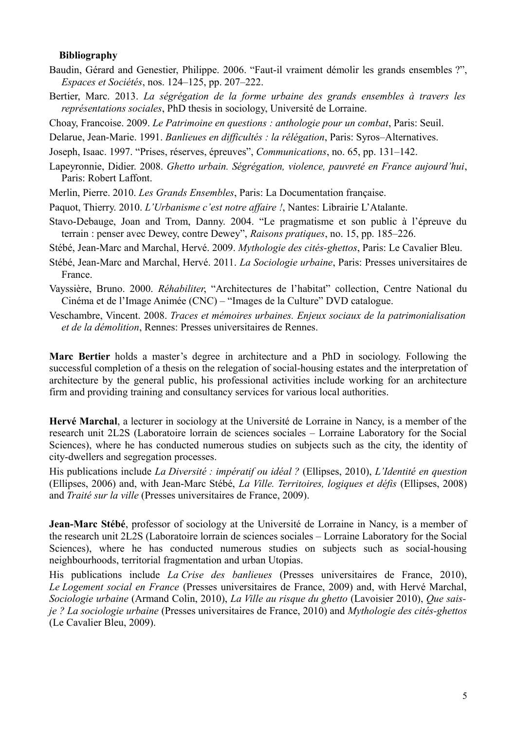#### **Bibliography**

- Baudin, Gérard and Genestier, Philippe. 2006. "Faut-il vraiment démolir les grands ensembles ?", *Espaces et Sociétés*, nos. 124–125, pp. 207–222.
- Bertier, Marc. 2013. *La ségrégation de la forme urbaine des grands ensembles à travers les représentations sociales*, PhD thesis in sociology, Université de Lorraine.
- Choay, Francoise. 2009. *Le Patrimoine en questions : anthologie pour un combat*, Paris: Seuil.
- Delarue, Jean-Marie. 1991. *Banlieues en difficultés : la rélégation*, Paris: Syros–Alternatives.

Joseph, Isaac. 1997. "Prises, réserves, épreuves", *Communications*, no. 65, pp. 131–142.

- Lapeyronnie, Didier. 2008. *Ghetto urbain. Ségrégation, violence, pauvreté en France aujourd'hui*, Paris: Robert Laffont.
- Merlin, Pierre. 2010. *Les Grands Ensembles*, Paris: La Documentation française.
- Paquot, Thierry. 2010. *L'Urbanisme c'est notre affaire !*, Nantes: Librairie L'Atalante.
- Stavo-Debauge, Joan and Trom, Danny. 2004. "Le pragmatisme et son public à l'épreuve du terrain : penser avec Dewey, contre Dewey", *Raisons pratiques*, no. 15, pp. 185–226.
- Stébé, Jean-Marc and Marchal, Hervé. 2009. *Mythologie des cités-ghettos*, Paris: Le Cavalier Bleu.
- Stébé, Jean-Marc and Marchal, Hervé. 2011. *La Sociologie urbaine*, Paris: Presses universitaires de France.
- Vayssière, Bruno. 2000. *Réhabiliter*, "Architectures de l'habitat" collection, Centre National du Cinéma et de l'Image Animée (CNC) – "Images de la Culture" DVD catalogue.
- Veschambre, Vincent. 2008. *Traces et mémoires urbaines. Enjeux sociaux de la patrimonialisation et de la démolition*, Rennes: Presses universitaires de Rennes.

**Marc Bertier** holds a master's degree in architecture and a PhD in sociology. Following the successful completion of a thesis on the relegation of social-housing estates and the interpretation of architecture by the general public, his professional activities include working for an architecture firm and providing training and consultancy services for various local authorities.

**Hervé Marchal**, a lecturer in sociology at the Université de Lorraine in Nancy, is a member of the research unit 2L2S (Laboratoire lorrain de sciences sociales – Lorraine Laboratory for the Social Sciences), where he has conducted numerous studies on subjects such as the city, the identity of city-dwellers and segregation processes.

His publications include *La Diversité : impératif ou idéal ?* (Ellipses, 2010), *L'Identité en question* (Ellipses, 2006) and, with Jean-Marc Stébé, *La Ville. Territoires, logiques et défis* (Ellipses, 2008) and *Traité sur la ville* (Presses universitaires de France, 2009).

**Jean-Marc Stébé**, professor of sociology at the Université de Lorraine in Nancy, is a member of the research unit 2L2S (Laboratoire lorrain de sciences sociales – Lorraine Laboratory for the Social Sciences), where he has conducted numerous studies on subjects such as social-housing neighbourhoods, territorial fragmentation and urban Utopias.

His publications include *La Crise des banlieues* (Presses universitaires de France, 2010), *Le Logement social en France* (Presses universitaires de France, 2009) and, with Hervé Marchal, *Sociologie urbaine* (Armand Colin, 2010), *La Ville au risque du ghetto* (Lavoisier 2010), *Que saisje ? La sociologie urbaine* (Presses universitaires de France, 2010) and *Mythologie des cités-ghettos* (Le Cavalier Bleu, 2009).